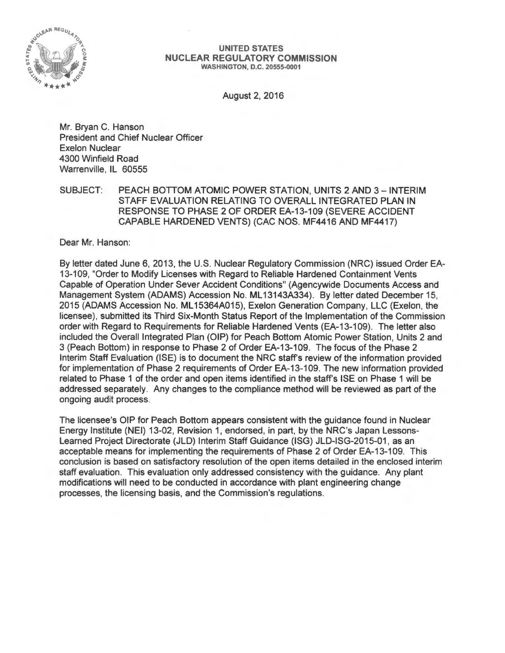

#### **UNITED STATES NUCLEAR REGULATORY COMMISSION**  WASHINGTON, D.C. 20555-0001

August 2, 2016

Mr. Bryan C. Hanson President and Chief Nuclear Officer Exelon Nuclear 4300 Winfield Road Warrenville, IL 60555

SUBJECT: PEACH BOTTOM ATOMIC POWER STATION, UNITS 2 AND 3- INTERIM STAFF EVALUATION RELATING TO OVERALL INTEGRATED PLAN IN RESPONSE TO PHASE 2 OF ORDER EA-13-109 (SEVERE ACCIDENT CAPABLE HARDENED VENTS) (CAC NOS. MF4416 AND MF4417)

Dear Mr. Hanson:

By letter dated June 6, 2013, the U.S. Nuclear Regulatory Commission (NRC) issued Order EA-13-109, "Order to Modify Licenses with Regard to Reliable Hardened Containment Vents Capable of Operation Under Sever Accident Conditions" (Agencywide Documents Access and Management System (ADAMS) Accession No. ML13143A334). By letter dated December 15, 2015 (ADAMS Accession No. ML 15364A015), Exelon Generation Company, LLC (Exelon, the licensee), submitted its Third Six-Month Status Report of the Implementation of the Commission order with Regard to Requirements for Reliable Hardened Vents (EA-13-109). The letter also included the Overall Integrated Plan (OIP) for Peach Bottom Atomic Power Station, Units 2 and 3 (Peach Bottom) in response to Phase 2 of Order EA-13-109. The focus of the Phase 2 Interim Staff Evaluation (ISE) is to document the NRC staff's review of the information provided for implementation of Phase 2 requirements of Order EA-13-109. The new information provided related to Phase 1 of the order and open items identified in the staff's ISE on Phase 1 will be addressed separately. Any changes to the compliance method will be reviewed as part of the ongoing audit process.

The licensee's OIP for Peach Bottom appears consistent with the guidance found in Nuclear Energy Institute (NEI) 13-02, Revision 1, endorsed, in part, by the NRC's Japan Lessons-Learned Project Directorate (JLD) Interim Staff Guidance (ISG) JLD-ISG-2015-01 , as an acceptable means for implementing the requirements of Phase 2 of Order EA-13-109. This conclusion is based on satisfactory resolution of the open items detailed in the enclosed interim staff evaluation. This evaluation only addressed consistency with the guidance. Any plant modifications will need to be conducted in accordance with plant engineering change processes, the licensing basis, and the Commission's regulations.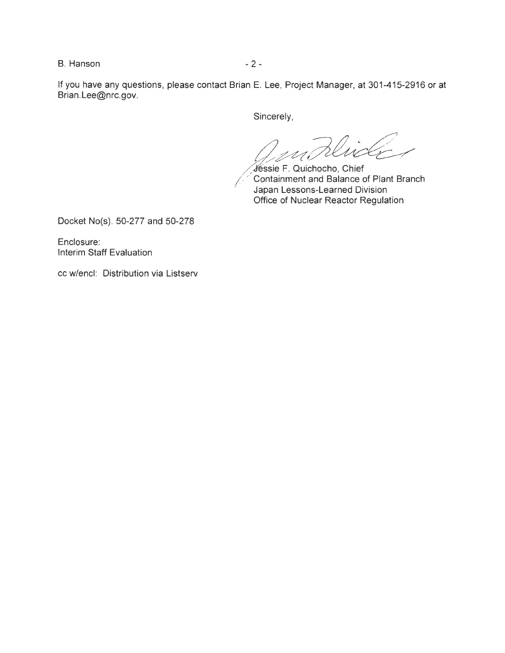B. Hanson - 2 -

If you have any questions, please contact Brian E. Lee, Project Manager, at 301-415-2916 or at Brian.Lee@nrc.gov.

Sincerely,

Klii ! C

Jéssie F. Quichocho, Chief Containment and Balance of Plant Branch Japan Lessons-Learned Division Office of Nuclear Reactor Regulation

Docket No(s). 50-277 and 50-278

Enclosure: Interim Staff Evaluation

cc w/encl: Distribution via Listserv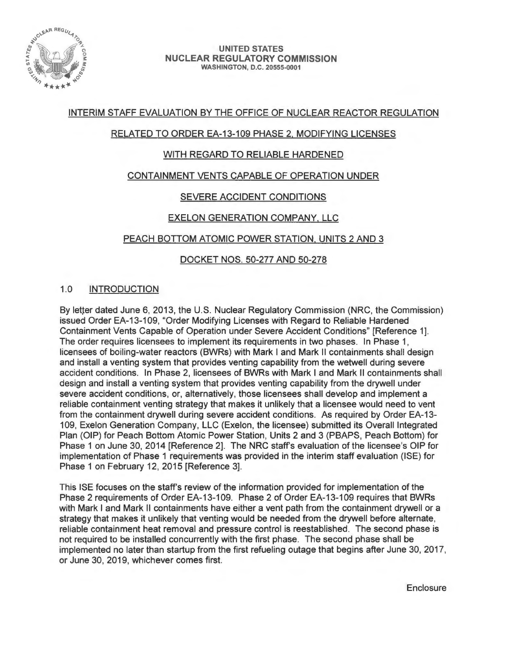

#### UNITED STATES NUCLEAR REGULATORY COMMISSION WASHINGTON, D.C. 20555-0001

# INTERIM STAFF EVALUATION BY THE OFFICE OF NUCLEAR REACTOR REGULATION

# RELATED TO ORDER EA-13-109 PHASE 2. MODIFYING LICENSES

# WITH REGARD TO RELIABLE HARDENED

# CONTAINMENT VENTS CAPABLE OF OPERATION UNDER

# SEVERE ACCIDENT CONDITIONS

# EXELON GENERATION COMPANY. LLC

# PEACH BOTTOM ATOMIC POWER STATION. UNITS 2 AND 3

# DOCKET NOS. 50-277 AND 50-278

# 1.0 INTRODUCTION

By letter dated June 6, 2013, the U.S. Nuclear Regulatory Commission (NRC, the Commission) issued Order EA-13-109, "Order Modifying Licenses with Regard to Reliable Hardened Containment Vents Capable of Operation under Severe Accident Conditions" [Reference 1]. The order requires licensees to implement its requirements in two phases. In Phase 1, licensees of boiling-water reactors (BWRs) with Mark I and Mark II containments shall design and install a venting system that provides venting capability from the wetwell during severe accident conditions. In Phase 2, licensees of BWRs with Mark I and Mark II containments shall design and install a venting system that provides venting capability from the drywell under severe accident conditions, or, alternatively, those licensees shall develop and implement a reliable containment venting strategy that makes it unlikely that a licensee would need to vent from the containment drywell during severe accident conditions. As required by Order EA-13- 109, Exelon Generation Company, LLC (Exelon, the licensee) submitted its Overall Integrated Plan (OIP) for Peach Bottom Atomic Power Station, Units 2 and 3 (PBAPS, Peach Bottom) for Phase 1 on June 30, 2014 [Reference 2]. The NRC staff's evaluation of the licensee's OIP for implementation of Phase 1 requirements was provided in the interim staff evaluation (ISE) for Phase 1 on February 12, 2015 [Reference 3].

This ISE focuses on the staff's review of the information provided for implementation of the Phase 2 requirements of Order EA-13-109. Phase 2 of Order EA-13-109 requires that BWRs with Mark I and Mark II containments have either a vent path from the containment drywell or a strategy that makes it unlikely that venting would be needed from the drywell before alternate, reliable containment heat removal and pressure control is reestablished. The second phase is not required to be installed concurrently with the first phase. The second phase shall be implemented no later than startup from the first refueling outage that begins after June 30, 2017, or June 30, 2019, whichever comes first.

**Enclosure**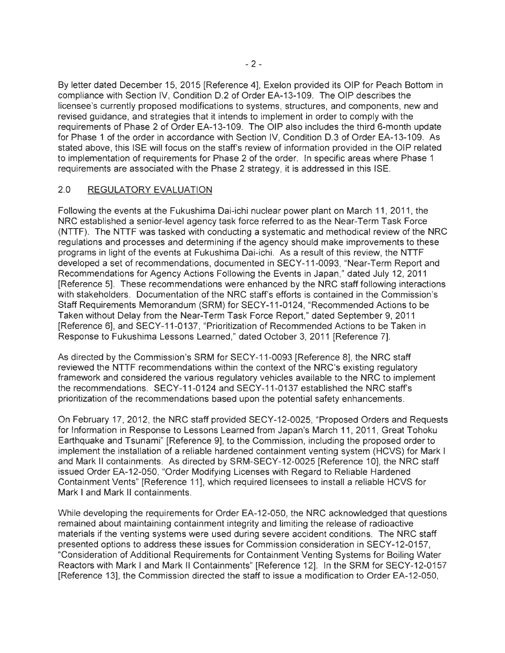By letter dated December 15, 2015 [Reference 4], Exelon provided its OIP for Peach Bottom in compliance with Section IV, Condition D.2 of Order EA-13-109. The OIP describes the licensee's currently proposed modifications to systems, structures, and components, new and revised guidance, and strategies that it intends to implement in order to comply with the requirements of Phase 2 of Order EA-13-109. The OIP also includes the third 6-month update for Phase 1 of the order in accordance with Section IV, Condition D.3 of Order EA-13-109. As stated above, this ISE will focus on the staff's review of information provided in the OIP related to implementation of requirements for Phase 2 of the order. In specific areas where Phase 1 requirements are associated with the Phase 2 strategy, it is addressed in this ISE.

# 2.0 REGULATORY EVALUATION

Following the events at the Fukushima Dai-ichi nuclear power plant on March 11, 2011 , the NRC established a senior-level agency task force referred to as the Near-Term Task Force (NTTF). The NTTF was tasked with conducting a systematic and methodical review of the NRC regulations and processes and determining if the agency should make improvements to these programs in light of the events at Fukushima Dai-ichi. As a result of this review, the NTTF developed a set of recommendations, documented in SECY-11-0093, "Near-Term Report and Recommendations for Agency Actions Following the Events in Japan," dated July 12, 2011 [Reference 5] . These recommendations were enhanced by the NRC staff following interactions with stakeholders. Documentation of the NRC staff's efforts is contained in the Commission's Staff Requirements Memorandum (SRM) for SECY-11-0124, "Recommended Actions to be Taken without Delay from the Near-Term Task Force Report," dated September 9, 2011 [Reference 6], and SECY-11-0137, "Prioritization of Recommended Actions to be Taken in Response to Fukushima Lessons Learned," dated October 3, 2011 [Reference 7].

As directed by the Commission's SRM for SECY-11-0093 [Reference 8], the NRC staff reviewed the NTTF recommendations within the context of the NRC's existing regulatory framework and considered the various regulatory vehicles available to the NRC to implement the recommendations. SECY-11-0124 and SECY-11-0137 established the NRC staff's prioritization of the recommendations based upon the potential safety enhancements.

On February 17, 2012, the NRC staff provided SECY-12-0025, "Proposed Orders and Requests for Information in Response to Lessons Learned from Japan's March 11, 2011 , Great Tohoku Earthquake and Tsunami" [Reference 9], to the Commission, including the proposed order to implement the installation of a reliable hardened containment venting system (HCVS) for Mark I and Mark II containments. As directed by SRM-SECY-12-0025 [Reference 10], the NRC staff issued Order EA-12-050, "Order Modifying Licenses with Regard to Reliable Hardened Containment Vents" (Reference 11], which required licensees to install a reliable HCVS for Mark I and Mark II containments.

While developing the requirements for Order EA-12-050, the NRC acknowledged that questions remained about maintaining containment integrity and limiting the release of radioactive materials if the venting systems were used during severe accident conditions. The NRC staff presented options to address these issues for Commission consideration in SECY-12-0157, "Consideration of Additional Requirements for Containment Venting Systems for Boiling Water Reactors with Mark I and Mark II Containments" (Reference 12]. In the SRM for SECY-12-0157 [Reference 13], the Commission directed the staff to issue a modification to Order EA-12-050,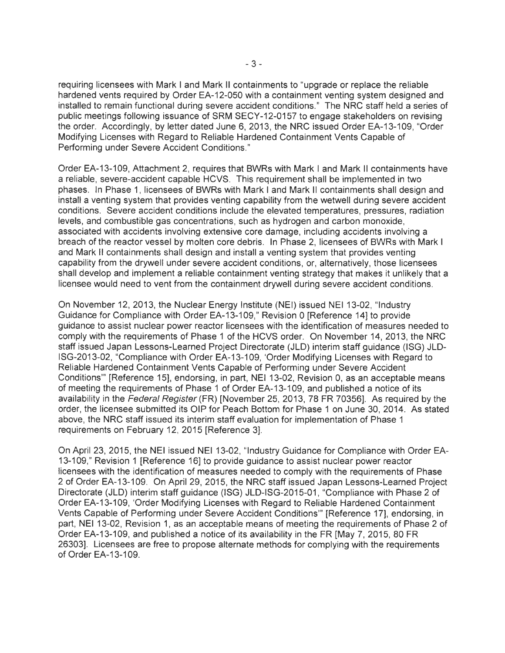requiring licensees with Mark I and Mark II containments to "upgrade or replace the reliable hardened vents required by Order EA-12-050 with a containment venting system designed and installed to remain functional during severe accident conditions." The NRC staff held a series of public meetings following issuance of SRM SECY-12-0157 to engage stakeholders on revising the order. Accordingly, by letter dated June 6, 2013, the NRC issued Order EA-13-109, "Order Modifying Licenses with Regard to Reliable Hardened Containment Vents Capable of Performing under Severe Accident Conditions."

Order EA-13-109, Attachment 2, requires that BWRs with Mark I and Mark II containments have a reliable, severe-accident capable HCVS. This requirement shall be implemented in two phases. In Phase 1, licensees of BWRs with Mark I and Mark II containments shall design and install a venting system that provides venting capability from the wetwell during severe accident conditions. Severe accident conditions include the elevated temperatures, pressures, radiation levels, and combustible gas concentrations, such as hydrogen and carbon monoxide, associated with accidents involving extensive core damage, including accidents involving a breach of the reactor vessel by molten core debris. In Phase 2, licensees of BWRs with Mark I and Mark II containments shall design and install a venting system that provides venting capability from the drywell under severe accident conditions , or, alternatively, those licensees shall develop and implement a reliable containment venting strategy that makes it unlikely that a licensee would need to vent from the containment drywell during severe accident conditions.

On November 12, 2013, the Nuclear Energy Institute (NEI) issued NEI 13-02, "Industry Guidance for Compliance with Order EA-13-109," Revision 0 [Reference 14] to provide guidance to assist nuclear power reactor licensees with the identification of measures needed to comply with the requirements of Phase 1 of the HCVS order. On November 14, 2013, the NRC staff issued Japan Lessons-Learned Project Directorate (JLD) interim staff guidance (ISG) JLD-ISG-2013-02, "Compliance with Order EA-13-109, 'Order Modifying Licenses with Regard to Reliable Hardened Containment Vents Capable of Performing under Severe Accident Conditions"' [Reference 15], endorsing, in part, NEI 13-02, Revision 0, as an acceptable means of meeting the requirements of Phase 1 of Order EA-13-109, and published a notice of its availability in the Federal Register (FR) [November 25, 2013, 78 FR 70356]. As required by the order, the licensee submitted its OIP for Peach Bottom for Phase 1 on June 30, 2014. As stated above, the NRC staff issued its interim staff evaluation for implementation of Phase 1 requirements on February 12, 2015 [Reference 3].

On April 23, 2015, the NEI issued NEI 13-02, "Industry Guidance for Compliance with Order EA-13-109," Revision 1 [Reference 16] to provide guidance to assist nuclear power reactor licensees with the identification of measures needed to comply with the requirements of Phase 2 of Order EA-13-109. On April 29, 2015, the NRC staff issued Japan Lessons-Learned Project Directorate (JLD) interim staff guidance (ISG) JLD-ISG-2015-01 , "Compliance with Phase 2 of Order EA-13-109, 'Order Modifying Licenses with Regard to Reliable Hardened Containment Vents Capable of Performing under Severe Accident Conditions'" [Reference 17], endorsing, in part, NEI 13-02, Revision 1, as an acceptable means of meeting the requirements of Phase 2 of Order EA-13-109, and published a notice of its availability in the FR [May 7, 2015, 80 FR 26303]. Licensees are free to propose alternate methods for complying with the requirements of Order EA-13-109.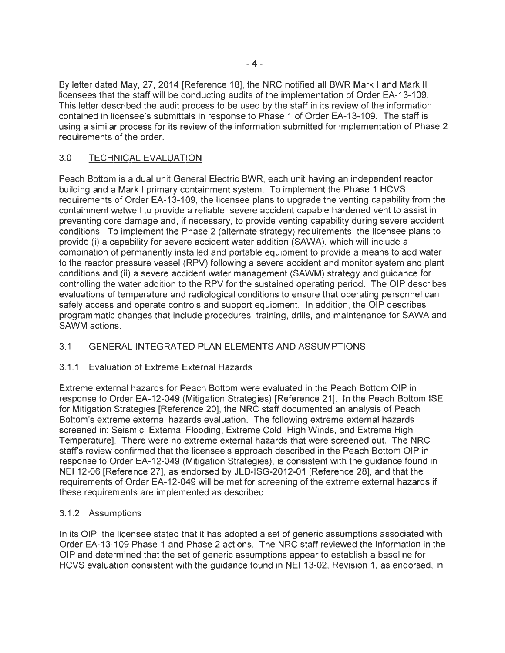By letter dated May, 27, 2014 [Reference 18], the NRC notified all BWR Mark I and Mark II licensees that the staff will be conducting audits of the implementation of Order EA-13-109. This letter described the audit process to be used by the staff in its review of the information contained in licensee's submittals in response to Phase 1 of Order EA-13-109. The staff is using a similar process for its review of the information submitted for implementation of Phase 2 requirements of the order.

# 3.0 TECHNICAL EVALUATION

Peach Bottom is a dual unit General Electric BWR, each unit having an independent reactor building and a Mark I primary containment system. To implement the Phase 1 HCVS requirements of Order EA-13-109, the licensee plans to upgrade the venting capability from the containment wetwell to provide a reliable, severe accident capable hardened vent to assist in preventing core damage and, if necessary, to provide venting capability during severe accident conditions. To implement the Phase 2 (alternate strategy) requirements, the licensee plans to provide (i) a capability for severe accident water addition (SAWA), which will include a combination of permanently installed and portable equipment to provide a means to add water to the reactor pressure vessel (RPV) following a severe accident and monitor system and plant conditions and (ii) a severe accident water management (SAWM) strategy and guidance for controlling the water addition to the RPV for the sustained operating period. The OIP describes evaluations of temperature and radiological conditions to ensure that operating personnel can safely access and operate controls and support equipment. In addition, the OIP describes programmatic changes that include procedures, training, drills, and maintenance for SAWA and SAWM actions.

# 3.1 GENERAL INTEGRATED PLAN ELEMENTS AND ASSUMPTIONS

# 3.1.1 Evaluation of Extreme External Hazards

Extreme external hazards for Peach Bottom were evaluated in the Peach Bottom OIP in response to Order EA-12-049 (Mitigation Strategies) [Reference 21]. In the Peach Bottom ISE for Mitigation Strategies [Reference 20], the NRC staff documented an analysis of Peach Bottom's extreme external hazards evaluation. The following extreme external hazards screened in: Seismic, External Flooding, Extreme Cold, High Winds, and Extreme High Temperature]. There were no extreme external hazards that were screened out. The NRC staff's review confirmed that the licensee's approach described in the Peach Bottom OIP in response to Order EA-12-049 (Mitigation Strategies), is consistent with the guidance found in NEI 12-06 [Reference 27], as endorsed by JLD-ISG-2012-01 [Reference 28], and that the requirements of Order EA-12-049 will be met for screening of the extreme external hazards if these requirements are implemented as described.

# 3.1.2 Assumptions

In its OIP, the licensee stated that it has adopted a set of generic assumptions associated with Order EA-13-109 Phase 1 and Phase 2 actions. The NRC staff reviewed the information in the OIP and determined that the set of generic assumptions appear to establish a baseline for HCVS evaluation consistent with the guidance found in NEI 13-02, Revision 1, as endorsed, in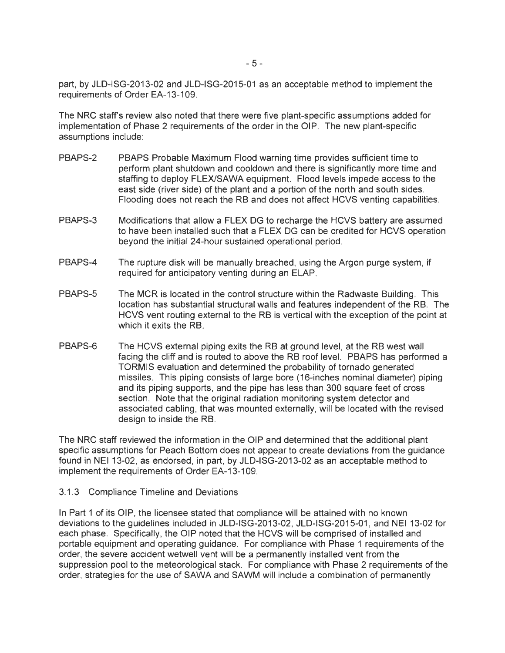part, by JLD-ISG-2013-02 and JLD-ISG-2015-01 as an acceptable method to implement the requirements of Order EA-13-109.

The NRC staff's review also noted that there were five plant-specific assumptions added for implementation of Phase 2 requirements of the order in the OIP. The new plant-specific assumptions include:

- PBAPS-2 PBAPS Probable Maximum Flood warning time provides sufficient time to perform plant shutdown and cooldown and there is significantly more time and staffing to deploy FLEX/SAWA equipment. Flood levels impede access to the east side (river side) of the plant and a portion of the north and south sides. Flooding does not reach the RB and does not affect HCVS venting capabilities.
- PBAPS-3 Modifications that allow a FLEX DG to recharge the HCVS battery are assumed to have been installed such that a FLEX DG can be credited for HCVS operation beyond the initial 24-hour sustained operational period.
- PBAPS-4 The rupture disk will be manually breached, using the Argon purge system, if required for anticipatory venting during an ELAP.
- PBAPS-5 The MCR is located in the control structure within the Radwaste Building. This location has substantial structural walls and features independent of the RB. The HCVS vent routing external to the RB is vertical with the exception of the point at which it exits the RB.
- PBAPS-6 The HCVS external piping exits the RB at ground level, at the RB west wall facing the cliff and is routed to above the RB roof level. PBAPS has performed a TORMIS evaluation and determined the probability of tornado generated missiles. This piping consists of large bore (16-inches nominal diameter) piping and its piping supports, and the pipe has less than 300 square feet of cross section. Note that the original radiation monitoring system detector and associated cabling, that was mounted externally, will be located with the revised design to inside the RB.

The NRC staff reviewed the information in the OIP and determined that the additional plant specific assumptions for Peach Bottom does not appear to create deviations from the guidance found in NEI 13-02, as endorsed, in part, by JLD-ISG-2013-02 as an acceptable method to implement the requirements of Order EA-13-109.

### 3.1.3 Compliance Timeline and Deviations

In Part 1 of its OIP, the licensee stated that compliance will be attained with no known deviations to the guidelines included in JLD-ISG-2013-02, JLD-ISG-2015-01 , and NEI 13-02 for each phase. Specifically, the OIP noted that the HCVS will be comprised of installed and portable equipment and operating guidance. For compliance with Phase 1 requirements of the order, the severe accident wetwell vent will be a permanently installed vent from the suppression pool to the meteorological stack. For compliance with Phase 2 requirements of the order, strategies for the use of SAWA and SAWM will include a combination of permanently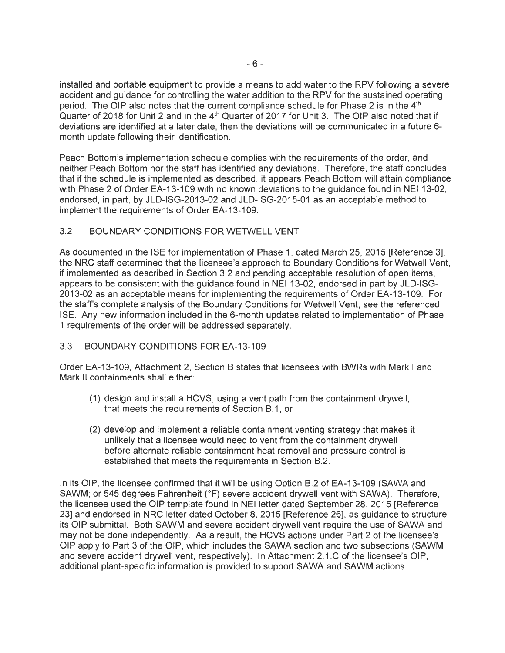installed and portable equipment to provide a means to add water to the RPV following a severe accident and guidance for controlling the water addition to the RPV for the sustained operating period. The OIP also notes that the current compliance schedule for Phase 2 is in the 4<sup>th</sup> Quarter of 2018 for Unit 2 and in the 4<sup>th</sup> Quarter of 2017 for Unit 3. The OIP also noted that if deviations are identified at a later date, then the deviations will be communicated in a future 6 month update following their identification.

Peach Bottom's implementation schedule complies with the requirements of the order, and neither Peach Bottom nor the staff has identified any deviations. Therefore, the staff concludes that if the schedule is implemented as described, it appears Peach Bottom will attain compliance with Phase 2 of Order EA-13-109 with no known deviations to the guidance found in NEI 13-02, endorsed, in part, by JLD-ISG-2013-02 and JLD-ISG-2015-01 as an acceptable method to implement the requirements of Order EA-13-109.

# 3.2 BOUNDARY CONDITIONS FOR WETWELL VENT

As documented in the ISE for implementation of Phase 1, dated March 25, 2015 [Reference 3], the NRC staff determined that the licensee's approach to Boundary Conditions for Wetwell Vent, if implemented as described in Section 3.2 and pending acceptable resolution of open items, appears to be consistent with the guidance found in NEI 13-02, endorsed in part by JLD-ISG-2013-02 as an acceptable means for implementing the requirements of Order EA-13-109. For the staff's complete analysis of the Boundary Conditions for Wetwell Vent, see the referenced ISE. Any new information included in the 6-month updates related to implementation of Phase 1 requirements of the order will be addressed separately.

# 3.3 BOUNDARY CONDITIONS FOR EA-13-109

Order EA-13-109, Attachment 2, Section B states that licensees with BWRs with Mark I and Mark II containments shall either:

- (1) design and install a HCVS, using a vent path from the containment drywell, that meets the requirements of Section B.1, or
- (2) develop and implement a reliable containment venting strategy that makes it unlikely that a licensee would need to vent from the containment drywell before alternate reliable containment heat removal and pressure control is established that meets the requirements in Section B.2.

In its OIP, the licensee confirmed that it will be using Option B.2 of EA-13-109 (SAWA and SAWM; or 545 degrees Fahrenheit (°F) severe accident drywell vent with SAWA). Therefore, the licensee used the OIP template found in NEI letter dated September 28, 2015 [Reference 23] and endorsed in NRC letter dated October 8, 2015 [Reference 26], as guidance to structure its OIP submittal. Both SAWM and severe accident drywell vent require the use of SAWA and may not be done independently. As a result, the HCVS actions under Part 2 of the licensee's OIP apply to Part 3 of the OIP, which includes the SAWA section and two subsections (SAWM and severe accident drywell vent, respectively). In Attachment 2.1.C of the licensee's OIP, additional plant-specific information is provided to support SAWA and SAWM actions.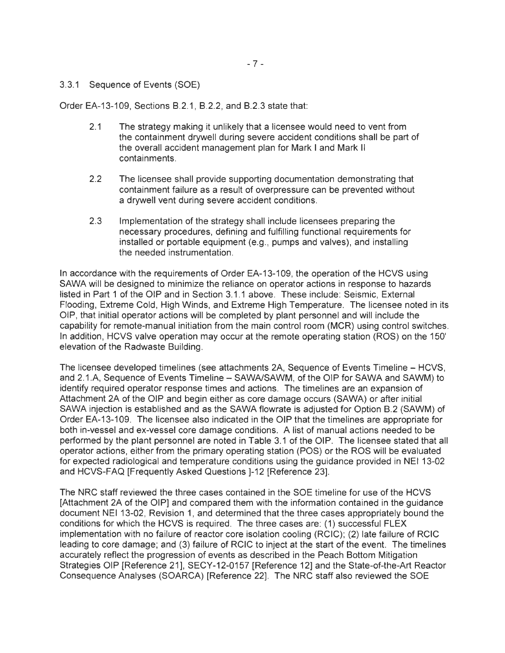### 3.3.1 Sequence of Events (SOE)

Order EA-13-109, Sections 8 .2.1, 8 .2.2, and 8.2.3 state that:

- 2.1 The strategy making it unlikely that a licensee would need to vent from the containment drywell during severe accident conditions shall be part of the overall accident management plan for Mark I and Mark II containments.
- 2.2 The licensee shall provide supporting documentation demonstrating that containment failure as a result of overpressure can be prevented without a drywell vent during severe accident conditions.
- 2.3 Implementation of the strategy shall include licensees preparing the necessary procedures, defining and fulfilling functional requirements for installed or portable equipment (e.g., pumps and valves), and installing the needed instrumentation.

In accordance with the requirements of Order EA-13-109, the operation of the HCVS using SAWA will be designed to minimize the reliance on operator actions in response to hazards listed in Part 1 of the OIP and in Section 3.1.1 above. These include: Seismic, External Flooding, Extreme Cold, High Winds, and Extreme High Temperature. The licensee noted in its OIP, that initial operator actions will be completed by plant personnel and will include the capability for remote-manual initiation from the main control room (MCR) using control switches. In addition, HCVS valve operation may occur at the remote operating station (ROS) on the 150' elevation of the Radwaste Building.

The licensee developed timelines (see attachments 2A, Sequence of Events Timeline – HCVS, and 2.1.A, Sequence of Events Timeline - SAWA/SAWM, of the OIP for SAWA and SAWM) to identify required operator response times and actions. The timelines are an expansion of Attachment 2A of the OIP and begin either as core damage occurs (SAWA) or after initial SAWA injection is established and as the SAWA flowrate is adjusted for Option B.2 (SAWM) of Order EA-13-109. The licensee also indicated in the OIP that the timelines are appropriate for both in-vessel and ex-vessel core damage conditions. A list of manual actions needed to be performed by the plant personnel are noted in Table 3.1 of the OIP. The licensee stated that all operator actions, either from the primary operating station (POS) or the ROS will be evaluated for expected radiological and temperature conditions using the guidance provided in NEI 13-02 and HCVS-FAQ [Frequently Asked Questions ]-12 [Reference 23].

The NRC staff reviewed the three cases contained in the SOE timeline for use of the HCVS [Attachment 2A of the OIP] and compared them with the information contained in the guidance document NEI 13-02, Revision 1, and determined that the three cases appropriately bound the conditions for which the HCVS is required. The three cases are: (1) successful FLEX implementation with no failure of reactor core isolation cooling (RCIC); (2) late failure of RCIC leading to core damage; and (3) failure of RCIC to inject at the start of the event. The timelines accurately reflect the progression of events as described in the Peach Bottom Mitigation Strategies OIP [Reference 21], SECY-12-0157 [Reference 12] and the State-of-the-Art Reactor Consequence Analyses (SOARCA) [Reference 22]. The NRC staff also reviewed the SOE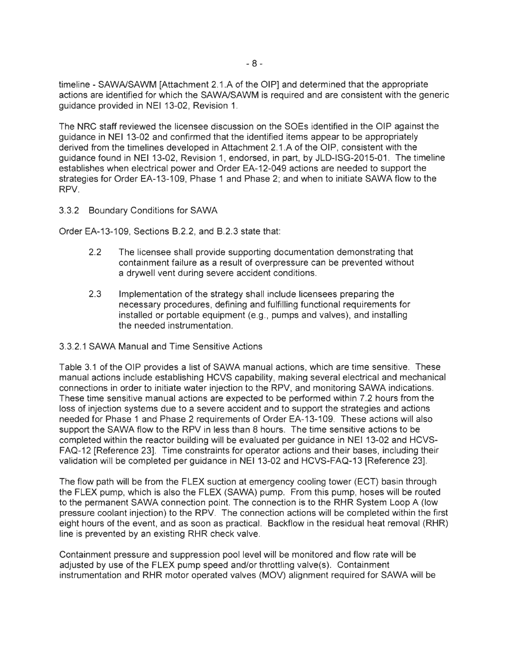timeline - SAWNSAWM [Attachment 2.1.A of the OIP] and determined that the appropriate actions are identified for which the SAWNSAWM is required and are consistent with the generic guidance provided in NEI 13-02, Revision 1.

The NRC staff reviewed the licensee discussion on the SOEs identified in the OIP against the guidance in NEI 13-02 and confirmed that the identified items appear to be appropriately derived from the timelines developed in Attachment 2.1.A of the OIP, consistent with the guidance found in NEI 13-02, Revision 1, endorsed, in part, by JLD-ISG-2015-01. The timeline establishes when electrical power and Order EA-12-049 actions are needed to support the strategies for Order EA-13-109, Phase 1 and Phase 2; and when to initiate SAWA flow to the RPV.

### 3.3.2 Boundary Conditions for SAWA

Order EA-13-109, Sections B.2.2, and B.2.3 state that:

- 2.2 The licensee shall provide supporting documentation demonstrating that containment failure as a result of overpressure can be prevented without a drywell vent during severe accident conditions.
- 2.3 Implementation of the strategy shall include licensees preparing the necessary procedures, defining and fulfilling functional requirements for installed or portable equipment (e.g., pumps and valves), and installing the needed instrumentation.

### 3.3.2.1 SAWA Manual and Time Sensitive Actions

Table 3.1 of the OIP provides a list of SAWA manual actions, which are time sensitive. These manual actions include establishing HCVS capability, making several electrical and mechanical connections in order to initiate water injection to the RPV, and monitoring SAWA indications. These time sensitive manual actions are expected to be performed within 7 .2 hours from the loss of injection systems due to a severe accident and to support the strategies and actions needed for Phase 1 and Phase 2 requirements of Order EA-13-109. These actions will also support the SAWA flow to the RPV in less than 8 hours. The time sensitive actions to be completed within the reactor building will be evaluated per guidance in NEI 13-02 and HCVS-FAQ-12 [Reference 23]. Time constraints for operator actions and their bases, including their validation will be completed per guidance in NEI 13-02 and HCVS-FAQ-13 [Reference 23].

The flow path will be from the FLEX suction at emergency cooling tower (ECT) basin through the FLEX pump, which is also the FLEX (SAWA) pump. From this pump, hoses will be routed to the permanent SAWA connection point. The connection is to the RHR System Loop A (low pressure coolant injection) to the RPV. The connection actions will be completed within the first eight hours of the event, and as soon as practical. Backflow in the residual heat removal (RHR) line is prevented by an existing RHR check valve.

Containment pressure and suppression pool level will be monitored and flow rate will be adjusted by use of the FLEX pump speed and/or throttling valve(s). Containment instrumentation and RHR motor operated valves (MOV) alignment required for SAWA will be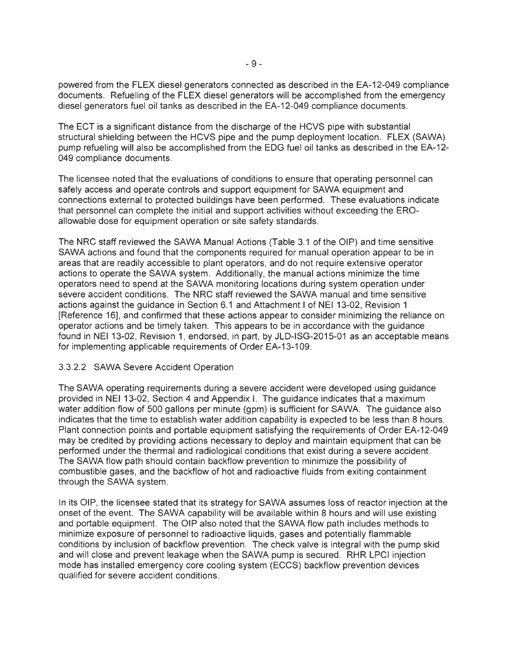powered from the FLEX diesel generators connected as described in the EA-12-049 compliance documents. Refueling of the FLEX diesel generators will be accomplished from the emergency diesel generators fuel oil tanks as described in the EA-12-049 compliance documents.

The ECT is a significant distance from the discharge of the HCVS pipe with substantial structural shielding between the HCVS pipe and the pump deployment location. FLEX (SAWA) pump refueling will also be accomplished from the EOG fuel oil tanks as described in the EA-12- 049 compliance documents.

The licensee noted that the evaluations of conditions to ensure that operating personnel can safely access and operate controls and support equipment for SAWA equipment and connections external to protected buildings have been performed. These evaluations indicate that personnel can complete the initial and support activities without exceeding the EROallowable dose for equipment operation or site safety standards.

The NRC staff reviewed the SAWA Manual Actions (Table 3.1 of the OIP) and time sensitive SAWA actions and found that the components required for manual operation appear to be in areas that are readily accessible to plant operators, and do not require extensive operator actions to operate the SAWA system. Additionally, the manual actions minimize the time operators need to spend at the SAWA monitoring locations during system operation under severe accident conditions. The NRC staff reviewed the SAWA manual and time sensitive actions against the guidance in Section 6.1 and Attachment I of NEI 13-02, Revision 1 [Reference 16], and confirmed that these actions appear to consider minimizing the reliance on operator actions and be timely taken. This appears to be in accordance with the guidance found in NEI 13-02, Revision 1, endorsed, in part, by JLD-ISG-2015-01 as an acceptable means for implementing applicable requirements of Order EA-13-109.

### 3.3.2.2 SAWA Severe Accident Operation

The SAWA operating requirements during a severe accident were developed using guidance provided in NEI 13-02, Section 4 and Appendix I. The guidance indicates that a maximum water addition flow of 500 gallons per minute (gpm) is sufficient for SAWA. The guidance also indicates that the time to establish water addition capability is expected to be less than 8 hours. Plant connection points and portable equipment satisfying the requirements of Order EA-12-049 may be credited by providing actions necessary to deploy and maintain equipment that can be performed under the thermal and radiological conditions that exist during a severe accident. The SAWA flow path should contain backflow prevention to minimize the possibility of combustible gases, and the backflow of hot and radioactive fluids from exiting containment through the SAWA system.

In its OIP, the licensee stated that its strategy for SAWA assumes loss of reactor injection at the onset of the event. The SAWA capability will be available within 8 hours and will use existing and portable equipment. The OIP also noted that the SAWA flow path includes methods to minimize exposure of personnel to radioactive liquids, gases and potentially flammable conditions by inclusion of backflow prevention. The check valve is integral with the pump skid and will close and prevent leakage when the SAWA pump is secured. RHR LPCI injection mode has installed emergency core cooling system (ECCS) backflow prevention devices qualified for severe accident conditions.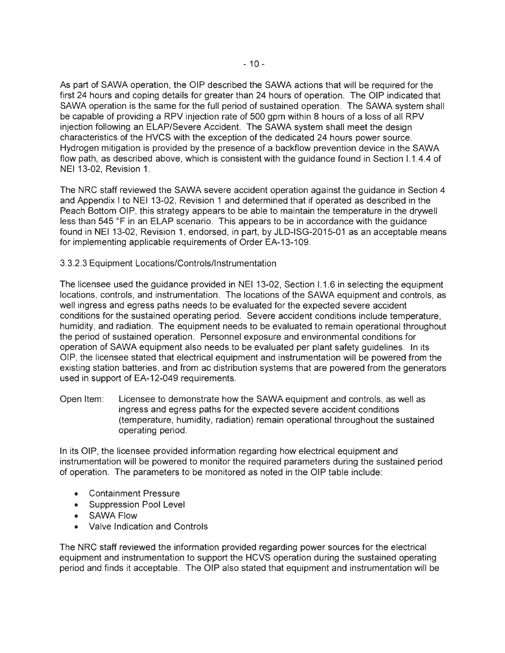As part of SAWA operation, the OIP described the SAWA actions that will be required for the first 24 hours and coping details for greater than 24 hours of operation. The OIP indicated that SAWA operation is the same for the full period of sustained operation. The SAWA system shall be capable of providing a RPV injection rate of 500 gpm within 8 hours of a loss of all RPV injection following an ELAP/Severe Accident. The SAWA system shall meet the design characteristics of the HVCS with the exception of the dedicated 24 hours power source. Hydrogen mitigation is provided by the presence of a backflow prevention device in the SAWA flow path, as described above, which is consistent with the guidance found in Section 1.1.4.4 of NEI 13-02, Revision 1.

The NRG staff reviewed the SAWA severe accident operation against the guidance in Section 4 and Appendix I to NEI 13-02, Revision 1 and determined that if operated as described in the Peach Bottom OIP, this strategy appears to be able to maintain the temperature in the drywell less than 545 °F in an ELAP scenario. This appears to be in accordance with the guidance found in NEI 13-02, Revision 1, endorsed, in part, by JLD-ISG-2015-01 as an acceptable means for implementing applicable requirements of Order EA-13-109.

### 3.3.2.3 Equipment Locations/Controls/Instrumentation

The licensee used the guidance provided in NEI 13-02, Section 1.1.6 in selecting the equipment locations, controls, and instrumentation. The locations of the SAWA equipment and controls, as well ingress and egress paths needs to be evaluated for the expected severe accident conditions for the sustained operating period. Severe accident conditions include temperature, humidity, and radiation. The equipment needs to be evaluated to remain operational throughout the period of sustained operation. Personnel exposure and environmental conditions for operation of SAWA equipment also needs to be evaluated per plant safety guidelines. In its OIP, the licensee stated that electrical equipment and instrumentation will be powered from the existing station batteries, and from ac distribution systems that are powered from the generators used in support of EA-12-049 requirements.

Open Item: Licensee to demonstrate how the SAWA equipment and controls, as well as ingress and egress paths for the expected severe accident conditions (temperature, humidity, radiation) remain operational throughout the sustained operating period.

In its OIP, the licensee provided information regarding how electrical equipment and instrumentation will be powered to monitor the required parameters during the sustained period of operation. The parameters to be monitored as noted in the OIP table include:

- Containment Pressure
- Suppression Pool Level
- SAWA Flow
- Valve Indication and Controls

The NRC staff reviewed the information provided regarding power sources for the electrical equipment and instrumentation to support the HCVS operation during the sustained operating period and finds it acceptable. The OIP also stated that equipment and instrumentation will be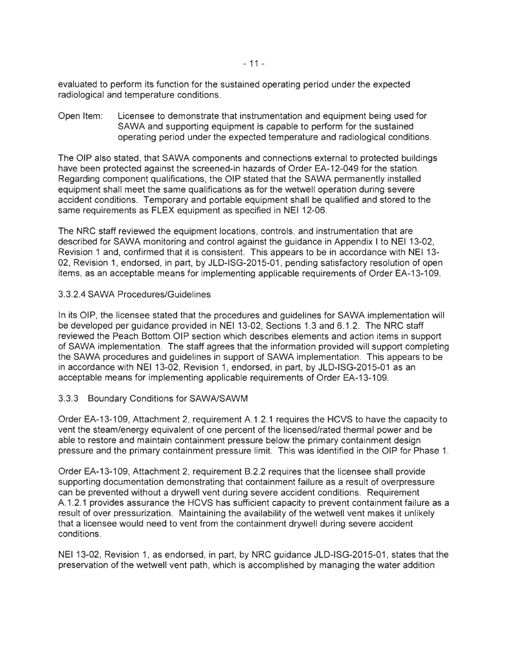evaluated to perform its function for the sustained operating period under the expected radiological and temperature conditions.

Open Item: Licensee to demonstrate that instrumentation and equipment being used for SAWA and supporting equipment is capable to perform for the sustained operating period under the expected temperature and radiological conditions.

The OIP also stated, that SAWA components and connections external to protected buildings have been protected against the screened-in hazards of Order EA-12-049 for the station. Regarding component qualifications, the OIP stated that the SAWA permanently installed equipment shall meet the same qualifications as for the wetwell operation during severe accident conditions. Temporary and portable equipment shall be qualified and stored to the same requirements as FLEX equipment as specified in NEI 12-06.

The NRC staff reviewed the equipment locations, controls, and instrumentation that are described for SAWA monitoring and control against the guidance in Appendix I to NEI 13-02, Revision 1 and, confirmed that it is consistent. This appears to be in accordance with NEI 13- 02, Revision 1, endorsed, in part, by JLD-ISG-2015-01 , pending satisfactory resolution of open items, as an acceptable means for implementing applicable requirements of Order EA-13-109.

### 3.3.2.4 SAWA Procedures/Guidelines

In its OIP, the licensee stated that the procedures and guidelines for SAWA implementation will be developed per guidance provided in NEI 13-02, Sections 1.3 and 6.1.2. The NRC staff reviewed the Peach Bottom OIP section which describes elements and action items in support of SAWA implementation. The staff agrees that the information provided will support completing the SAWA procedures and guidelines in support of SAWA implementation. This appears to be in accordance with NEI 13-02, Revision 1, endorsed, in part, by JLD-ISG-2015-01 as an acceptable means for implementing applicable requirements of Order EA-13-109.

### 3.3.3 Boundary Conditions for SAWNSAWM

Order EA-13-109, Attachment 2, requirement A.1.2.1 requires the HCVS to have the capacity to vent the steam/energy equivalent of one percent of the licensed/rated thermal power and be able to restore and maintain containment pressure below the primary containment design pressure and the primary containment pressure limit. This was identified in the OIP for Phase 1.

Order EA-13-109, Attachment 2, requirement B.2.2 requires that the licensee shall provide supporting documentation demonstrating that containment failure as a result of overpressure can be prevented without a drywell vent during severe accident conditions. Requirement A.1.2.1 provides assurance the HCVS has sufficient capacity to prevent containment failure as a result of over pressurization. Maintaining the availability of the wetwell vent makes it unlikely that a licensee would need to vent from the containment drywell during severe accident conditions.

NEI 13-02, Revision 1, as endorsed, in part, by NRC guidance JLD-ISG-2015-01 , states that the preservation of the wetwell vent path, which is accomplished by managing the water addition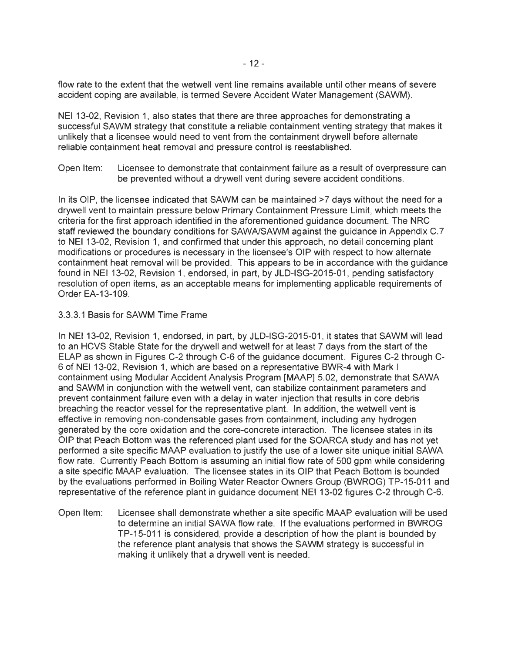flow rate to the extent that the wetwell vent line remains available until other means of severe accident coping are available, is termed Severe Accident Water Management (SAWM).

NEI 13-02, Revision 1, also states that there are three approaches for demonstrating a successful SAWM strategy that constitute a reliable containment venting strategy that makes it unlikely that a licensee would need to vent from the containment drywell before alternate reliable containment heat removal and pressure control is reestablished.

Open Item: Licensee to demonstrate that containment failure as a result of overpressure can be prevented without a drywell vent during severe accident conditions.

In its OIP, the licensee indicated that SAWM can be maintained  $\geq 7$  days without the need for a drywell vent to maintain pressure below Primary Containment Pressure Limit, which meets the criteria for the first approach identified in the aforementioned guidance document. The NRC staff reviewed the boundary conditions for SAWA/SAWM against the guidance in Appendix C.7 to NEI 13-02, Revision 1, and confirmed that under this approach, no detail concerning plant modifications or procedures is necessary in the licensee's OIP with respect to how alternate containment heat removal will be provided. This appears to be in accordance with the guidance found in NEI 13-02, Revision 1, endorsed, in part, by JLD-ISG-2015-01 , pending satisfactory resolution of open items, as an acceptable means for implementing applicable requirements of Order EA-13-109.

### 3.3.3.1 Basis for SAWM Time Frame

In NEI 13-02, Revision 1, endorsed, in part, by JLD-ISG-2015-01 , it states that SAWM will lead to an HCVS Stable State for the drywell and wetwell for at least 7 days from the start of the ELAP as shown in Figures C-2 through C-6 of the guidance document. Figures C-2 through C-6 of NEI 13-02, Revision 1, which are based on a representative BWR-4 with Mark I containment using Modular Accident Analysis Program [MAAP] 5.02, demonstrate that SAWA and SAWM in conjunction with the wetwell vent, can stabilize containment parameters and prevent containment failure even with a delay in water injection that results in core debris breaching the reactor vessel for the representative plant. In addition, the wetwell vent is effective in removing non-condensable gases from containment, including any hydrogen generated by the core oxidation and the core-concrete interaction. The licensee states in its OIP that Peach Bottom was the referenced plant used for the SOARCA study and has not yet performed a site specific MAAP evaluation to justify the use of a lower site unique initial SAWA flow rate. Currently Peach Bottom is assuming an initial flow rate of 500 gpm while considering a site specific MAAP evaluation. The licensee states in its OIP that Peach Bottom is bounded by the evaluations performed in Boiling Water Reactor Owners Group (BWROG) TP-15-011 and representative of the reference plant in guidance document NEI 13-02 figures C-2 through C-6.

Open Item: Licensee shall demonstrate whether a site specific MAAP evaluation will be used to determine an initial SAWA flow rate. If the evaluations performed in BWROG TP-15-011 is considered, provide a description of how the plant is bounded by the reference plant analysis that shows the SAWM strategy is successful in making it unlikely that a drywell vent is needed.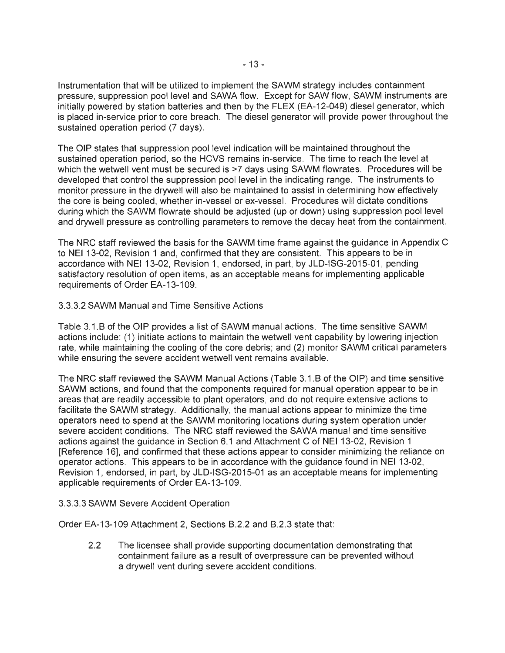Instrumentation that will be utilized to implement the SAWM strategy includes containment pressure, suppression pool level and SAWA flow. Except for SAW flow, SAWM instruments are initially powered by station batteries and then by the FLEX (EA-12-049) diesel generator, which is placed in-service prior to core breach. The diesel generator will provide power throughout the sustained operation period (7 days).

The OIP states that suppression pool level indication will be maintained throughout the sustained operation period, so the HCVS remains in-service. The time to reach the level at which the wetwell vent must be secured is  $>7$  days using SAWM flowrates. Procedures will be developed that control the suppression pool level in the indicating range. The instruments to monitor pressure in the drywell will also be maintained to assist in determining how effectively the core is being cooled, whether in-vessel or ex-vessel. Procedures will dictate conditions during which the SAWM flowrate should be adjusted (up or down) using suppression pool level and drywell pressure as controlling parameters to remove the decay heat from the containment.

The NRC staff reviewed the basis for the SAWM time frame against the guidance in Appendix C to NEI 13-02, Revision 1 and, confirmed that they are consistent. This appears to be in accordance with NEI 13-02, Revision 1, endorsed, in part, by JLD-ISG-2015-01, pending satisfactory resolution of open items, as an acceptable means for implementing applicable requirements of Order EA-13-109.

### 3.3.3.2 SAWM Manual and Time Sensitive Actions

Table 3.1.B of the OIP provides a list of SAWM manual actions. The time sensitive SAWM actions include: ( 1) initiate actions to maintain the wetwell vent capability by lowering injection rate, while maintaining the cooling of the core debris; and (2) monitor SAWM critical parameters while ensuring the severe accident wetwell vent remains available.

The NRC staff reviewed the SAWM Manual Actions (Table 3.1.B of the OIP) and time sensitive SAWM actions, and found that the components required for manual operation appear to be in areas that are readily accessible to plant operators, and do not require extensive actions to facilitate the SAWM strategy. Additionally, the manual actions appear to minimize the time operators need to spend at the SAWM monitoring locations during system operation under severe accident conditions. The NRC staff reviewed the SAWA manual and time sensitive actions against the guidance in Section 6.1 and Attachment C of NEI 13-02, Revision 1 [Reference 16], and confirmed that these actions appear to consider minimizing the reliance on operator actions. This appears to be in accordance with the guidance found in NEI 13-02, Revision 1, endorsed, in part, by JLD-ISG-2015-01 as an acceptable means for implementing applicable requirements of Order EA-13-109.

### 3.3.3.3 SAWM Severe Accident Operation

Order EA-13-109 Attachment 2, Sections B.2.2 and B.2.3 state that:

2.2 The licensee shall provide supporting documentation demonstrating that containment failure as a result of overpressure can be prevented without a drywell vent during severe accident conditions.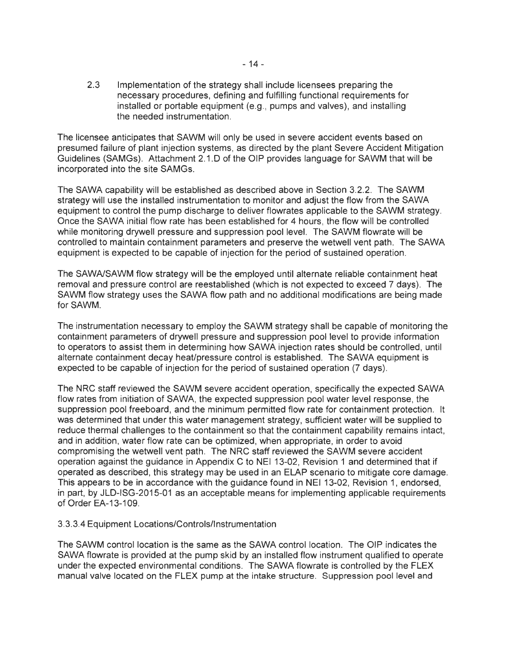2.3 Implementation of the strategy shall include licensees preparing the necessary procedures, defining and fulfilling functional requirements for installed or portable equipment (e.g., pumps and valves), and installing the needed instrumentation.

The licensee anticipates that SAWM will only be used in severe accident events based on presumed failure of plant injection systems, as directed by the plant Severe Accident Mitigation Guidelines (SAMGs). Attachment 2.1.D of the OIP provides language for SAWM that will be incorporated into the site SAMGs.

The SAWA capability will be established as described above in Section 3.2.2. The SAWM strategy will use the installed instrumentation to monitor and adjust the flow from the SAWA equipment to control the pump discharge to deliver flowrates applicable to the SAWM strategy. Once the SAWA initial flow rate has been established for 4 hours, the flow will be controlled while monitoring drywell pressure and suppression pool level. The SAWM flowrate will be controlled to maintain containment parameters and preserve the wetwell vent path. The SAWA equipment is expected to be capable of injection for the period of sustained operation.

The SAWNSAWM flow strategy will be the employed until alternate reliable containment heat removal and pressure control are reestablished (which is not expected to exceed 7 days). The SAWM flow strategy uses the SAWA flow path and no additional modifications are being made for SAWM.

The instrumentation necessary to employ the SAWM strategy shall be capable of monitoring the containment parameters of drywell pressure and suppression pool level to provide information to operators to assist them in determining how SAWA injection rates should be controlled, until alternate containment decay heat/pressure control is established. The SAWA equipment is expected to be capable of injection for the period of sustained operation (7 days).

The NRC staff reviewed the SAWM severe accident operation, specifically the expected SAWA flow rates from initiation of SAWA, the expected suppression pool water level response, the suppression pool freeboard, and the minimum permitted flow rate for containment protection. It was determined that under this water management strategy, sufficient water will be supplied to reduce thermal challenges to the containment so that the containment capability remains intact, and in addition, water flow rate can be optimized, when appropriate, in order to avoid compromising the wetwell vent path. The NRC staff reviewed the SAWM severe accident operation against the guidance in Appendix C to NEI 13-02, Revision 1 and determined that if operated as described, this strategy may be used in an ELAP scenario to mitigate core damage. This appears to be in accordance with the guidance found in NEI 13-02, Revision 1, endorsed, in part, by JLD-ISG-2015-01 as an acceptable means for implementing applicable requirements of Order EA-13-109.

### 3.3.3.4 Equipment Locations/Controls/Instrumentation

The SAWM control location is the same as the SAWA control location. The OIP indicates the SAWA flowrate is provided at the pump skid by an installed flow instrument qualified to operate under the expected environmental conditions. The SAWA flowrate is controlled by the FLEX manual valve located on the FLEX pump at the intake structure. Suppression pool level and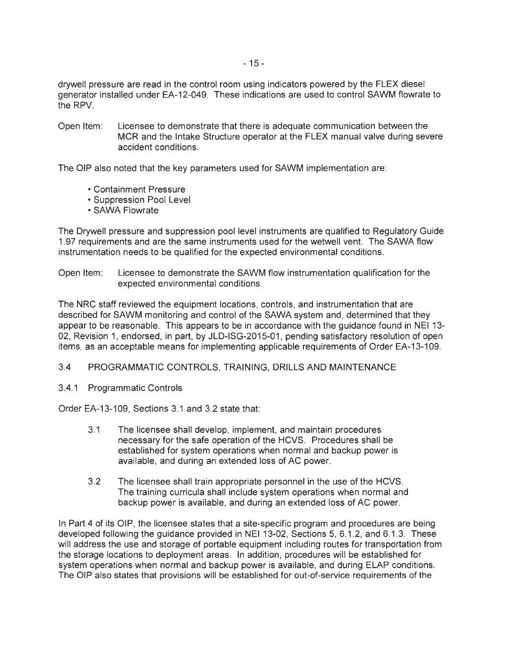drywell pressure are read in the control room using indicators powered by the FLEX diesel generator installed under EA-12-049. These indications are used to control SAWM flowrate to the RPV.

Open Item: Licensee to demonstrate that there is adequate communication between the MCR and the Intake Structure operator at the FLEX manual valve during severe accident conditions.

The OIP also noted that the key parameters used for SAWM implementation are:

- Containment Pressure
- Suppression Pool Level
- SAWA Flowrate

The Drywell pressure and suppression pool level instruments are qualified to Regulatory Guide 1.97 requirements and are the same instruments used for the wetwell vent. The SAWA flow instrumentation needs to be qualified for the expected environmental conditions.

Open Item: Licensee to demonstrate the SAWM flow instrumentation qualification for the expected environmental conditions.

The NRC staff reviewed the equipment locations, controls, and instrumentation that are described for SAWM monitoring and control of the SAWA system and, determined that they appear to be reasonable. This appears to be in accordance with the guidance found in NEI 13- 02, Revision 1, endorsed, in part, by JLD-ISG-2015-01 , pending satisfactory resolution of open items, as an acceptable means for implementing applicable requirements of Order EA-13-109.

# 3.4 PROGRAMMATIC CONTROLS, TRAINING, DRILLS AND MAINTENANCE

3.4.1 Programmatic Controls

Order EA-13-109, Sections 3.1 and 3.2 state that:

- 3.1 The licensee shall develop, implement, and maintain procedures necessary for the safe operation of the HCVS. Procedures shall be established for system operations when normal and backup power is available, and during an extended loss of AC power.
- 3.2 The licensee shall train appropriate personnel in the use of the HCVS. The training curricula shall include system operations when normal and backup power is available, and during an extended loss of AC power.

In Part 4 of its OIP, the licensee states that a site-specific program and procedures are being developed following the guidance provided in NEI 13-02, Sections 5, 6.1.2, and 6.1.3. These will address the use and storage of portable equipment including routes for transportation from the storage locations to deployment areas. In addition, procedures will be established for system operations when normal and backup power is available, and during ELAP conditions. The OIP also states that provisions will be established for out-of-service requirements of the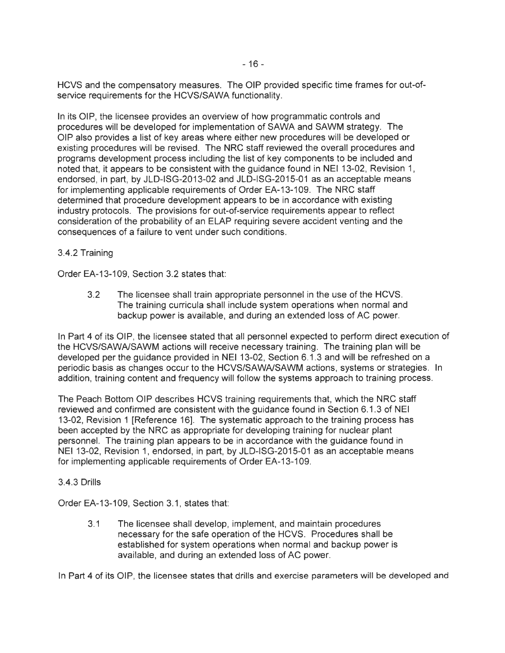HCVS and the compensatory measures. The OIP provided specific time frames for out-ofservice requirements for the HCVS/SAWA functionality.

In its OIP, the licensee provides an overview of how programmatic controls and procedures will be developed for implementation of SAWA and SAWM strategy. The OIP also provides a list of key areas where either new procedures will be developed or existing procedures will be revised. The NRC staff reviewed the overall procedures and programs development process including the list of key components to be included and noted that, it appears to be consistent with the guidance found in NEI 13-02, Revision 1, endorsed, in part, by JLD-ISG-2013-02 and JLD-ISG-2015-01 as an acceptable means for implementing applicable requirements of Order EA-13-109. The NRC staff determined that procedure development appears to be in accordance with existing industry protocols. The provisions for out-of-service requirements appear to reflect consideration of the probability of an ELAP requiring severe accident venting and the consequences of a failure to vent under such conditions.

# 3.4.2 Training

Order EA-13-109, Section 3.2 states that:

3.2 The licensee shall train appropriate personnel in the use of the HCVS. The training curricula shall include system operations when normal and backup power is available, and during an extended loss of AC power.

In Part 4 of its OIP, the licensee stated that all personnel expected to perform direct execution of the HCVS/SAWNSAWM actions will receive necessary training . The training plan will be developed per the guidance provided in NEI 13-02, Section 6.1.3 and will be refreshed on a periodic basis as changes occur to the HCVS/SAWNSAWM actions, systems or strategies. In addition, training content and frequency will follow the systems approach to training process.

The Peach Bottom OIP describes HCVS training requirements that, which the NRC staff reviewed and confirmed are consistent with the guidance found in Section 6.1.3 of NEI 13-02, Revision 1 [Reference 16]. The systematic approach to the training process has been accepted by the NRC as appropriate for developing training for nuclear plant personnel. The training plan appears to be in accordance with the guidance found in NEI 13-02, Revision 1, endorsed, in part, by JLD-ISG-2015-01 as an acceptable means for implementing applicable requirements of Order EA-13-109.

### 3.4.3 Drills

Order EA-13-109, Section 3.1, states that:

3.1 The licensee shall develop, implement, and maintain procedures necessary for the safe operation of the HCVS. Procedures shall be established for system operations when normal and backup power is available, and during an extended loss of AC power.

In Part 4 of its OIP, the licensee states that drills and exercise parameters will be developed and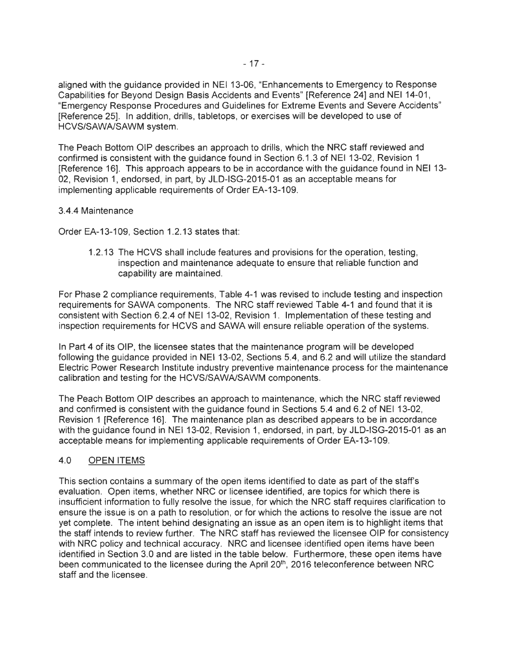aligned with the guidance provided in NEI 13-06, "Enhancements to Emergency to Response Capabilities for Beyond Design Basis Accidents and Events" [Reference 24] and NEI 14-01 , "Emergency Response Procedures and Guidelines for Extreme Events and Severe Accidents" [Reference 25]. In addition, drills, tabletops, or exercises will be developed to use of HCVS/SAWA/SAWM system.

The Peach Bottom OIP describes an approach to drills, which the NRC staff reviewed and confirmed is consistent with the guidance found in Section 6.1.3 of NEI 13-02, Revision 1 [Reference 16]. This approach appears to be in accordance with the guidance found in NEI 13- 02, Revision 1, endorsed, in part, by JLD-ISG-2015-01 as an acceptable means for implementing applicable requirements of Order EA-13-109.

### 3.4.4 Maintenance

Order EA-13-109, Section 1.2.13 states that:

1.2.13 The HCVS shall include features and provisions for the operation, testing, inspection and maintenance adequate to ensure that reliable function and capability are maintained.

For Phase 2 compliance requirements, Table 4-1 was revised to include testing and inspection requirements for SAWA components. The NRC staff reviewed Table 4-1 and found that it is consistent with Section 6.2.4 of NEI 13-02, Revision 1. Implementation of these testing and inspection requirements for HCVS and SAWA will ensure reliable operation of the systems.

In Part 4 of its OIP, the licensee states that the maintenance program will be developed following the guidance provided in NEI 13-02, Sections 5.4, and 6.2 and will utilize the standard Electric Power Research Institute industry preventive maintenance process for the maintenance calibration and testing for the HCVS/SAWA/SAWM components.

The Peach Bottom OIP describes an approach to maintenance, which the NRC staff reviewed and confirmed is consistent with the guidance found in Sections 5.4 and 6.2 of NEI 13-02, Revision 1 [Reference 16]. The maintenance plan as described appears to be in accordance with the guidance found in NEI 13-02, Revision 1, endorsed, in part, by JLD-ISG-2015-01 as an acceptable means for implementing applicable requirements of Order EA-13-109.

### 4.0 OPEN ITEMS

This section contains a summary of the open items identified to date as part of the staff's evaluation. Open items, whether NRC or licensee identified, are topics for which there is insufficient information to fully resolve the issue, for which the NRC staff requires clarification to ensure the issue is on a path to resolution, or for which the actions to resolve the issue are not yet complete. The intent behind designating an issue as an open item is to highlight items that the staff intends to review further. The NRC staff has reviewed the licensee OIP for consistency with NRC policy and technical accuracy. NRC and licensee identified open items have been identified in Section 3.0 and are listed in the table below. Furthermore, these open items have been communicated to the licensee during the April 20<sup>th</sup>, 2016 teleconference between NRC staff and the licensee.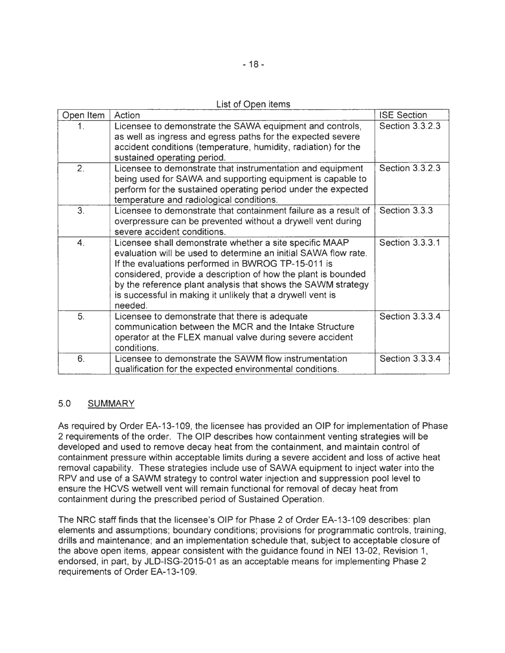|  |  | List of Open items |
|--|--|--------------------|
|  |  |                    |

| Open Item        | Action                                                                                                                                                                                                                                                                                                                                                                                     | <b>ISE Section</b> |
|------------------|--------------------------------------------------------------------------------------------------------------------------------------------------------------------------------------------------------------------------------------------------------------------------------------------------------------------------------------------------------------------------------------------|--------------------|
| 1.               | Licensee to demonstrate the SAWA equipment and controls,<br>as well as ingress and egress paths for the expected severe<br>accident conditions (temperature, humidity, radiation) for the<br>sustained operating period.                                                                                                                                                                   | Section 3.3.2.3    |
| 2.               | Licensee to demonstrate that instrumentation and equipment<br>being used for SAWA and supporting equipment is capable to<br>perform for the sustained operating period under the expected<br>temperature and radiological conditions.                                                                                                                                                      | Section 3.3.2.3    |
| 3.               | Licensee to demonstrate that containment failure as a result of<br>overpressure can be prevented without a drywell vent during<br>severe accident conditions.                                                                                                                                                                                                                              | Section 3.3.3      |
| $\overline{4}$ . | Licensee shall demonstrate whether a site specific MAAP<br>evaluation will be used to determine an initial SAWA flow rate.<br>If the evaluations performed in BWROG TP-15-011 is<br>considered, provide a description of how the plant is bounded<br>by the reference plant analysis that shows the SAWM strategy<br>is successful in making it unlikely that a drywell vent is<br>needed. | Section 3.3.3.1    |
| 5.               | Licensee to demonstrate that there is adequate<br>communication between the MCR and the Intake Structure<br>operator at the FLEX manual valve during severe accident<br>conditions.                                                                                                                                                                                                        | Section 3.3.3.4    |
| 6.               | Licensee to demonstrate the SAWM flow instrumentation<br>qualification for the expected environmental conditions.                                                                                                                                                                                                                                                                          | Section 3.3.3.4    |

# 5.0 SUMMARY

As required by Order EA-13-109, the licensee has provided an OIP for implementation of Phase 2 requirements of the order. The OIP describes how containment venting strategies will be developed and used to remove decay heat from the containment, and maintain control of containment pressure within acceptable limits during a severe accident and loss of active heat removal capability. These strategies include use of SAWA equipment to inject water into the RPV and use of a SAWM strategy to control water injection and suppression pool level to ensure the HCVS wetwell vent will remain functional for removal of decay heat from containment during the prescribed period of Sustained Operation.

The NRC staff finds that the licensee's OIP for Phase 2 of Order EA-13-109 describes: plan elements and assumptions; boundary conditions; provisions for programmatic controls, training, drills and maintenance; and an implementation schedule that, subject to acceptable closure of the above open items, appear consistent with the guidance found in NEI 13-02, Revision 1, endorsed, in part, by JLD-ISG-2015-01 as an acceptable means for implementing Phase 2 requirements of Order EA-13-109.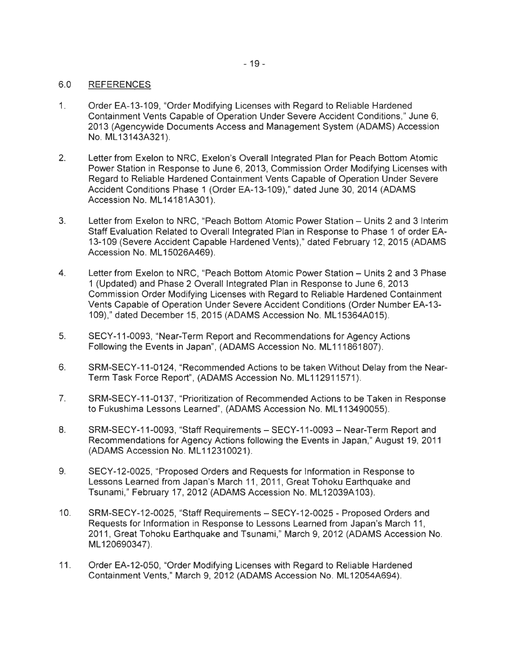### 6.0 REFERENCES

- 1. Order EA-13-109, "Order Modifying Licenses with Regard to Reliable Hardened Containment Vents Capable of Operation Under Severe Accident Conditions," June 6, 2013 (Agencywide Documents Access and Management System (ADAMS) Accession No. ML 13143A321).
- 2. Letter from Exelon to NRC, Exelon's Overall Integrated Plan for Peach Bottom Atomic Power Station in Response to June 6, 2013, Commission Order Modifying Licenses with Regard to Reliable Hardened Containment Vents Capable of Operation Under Severe Accident Conditions Phase 1 (Order EA-13-109)," dated June 30, 2014 (ADAMS Accession No. ML 14181A301).
- 3. Letter from Exelon to NRC, "Peach Bottom Atomic Power Station Units 2 and 3 Interim Staff Evaluation Related to Overall Integrated Plan in Response to Phase 1 of order EA-13-109 (Severe Accident Capable Hardened Vents)," dated February 12, 2015 (ADAMS Accession No. ML 15026A469).
- 4. Letter from Exelon to NRC, "Peach Bottom Atomic Power Station Units 2 and 3 Phase 1 (Updated) and Phase 2 Overall Integrated Plan in Response to June 6, 2013 Commission Order Modifying Licenses with Regard to Reliable Hardened Containment Vents Capable of Operation Under Severe Accident Conditions (Order Number EA-13- 109)," dated December 15, 2015 (ADAMS Accession No. ML 15364A015).
- 5. SECY-11-0093, "Near-Term Report and Recommendations for Agency Actions Following the Events in Japan", (ADAMS Accession No. ML111861807).
- 6. SRM-SECY-11 -0124, "Recommended Actions to be taken Without Delay from the Near-Term Task Force Report", (ADAMS Accession No. ML 112911571).
- 7. SRM-SECY-11-0137, "Prioritization of Recommended Actions to be Taken in Response to Fukushima Lessons Learned", (ADAMS Accession No. ML113490055).
- 8. SRM-SECY-11-0093, "Staff Requirements SECY-11-0093 Near-Term Report and Recommendations for Agency Actions following the Events in Japan," August 19, 2011 (ADAMS Accession No. ML112310021).
- 9. SECY-12-0025, "Proposed Orders and Requests for Information in Response to Lessons Learned from Japan's March 11, 2011, Great Tohoku Earthquake and Tsunami," February 17, 2012 (ADAMS Accession No. ML12039A103).
- 10. SRM-SECY-12-0025, "Staff Requirements SECY-12-0025 Proposed Orders and Requests for Information in Response to Lessons Learned from Japan's March 11 , 2011 , Great Tohoku Earthquake and Tsunami," March 9, 2012 (ADAMS Accession No. ML 120690347).
- 11 . Order EA-12-050, "Order Modifying Licenses with Regard to Reliable Hardened Containment Vents," March 9, 2012 (ADAMS Accession No. ML 12054A694).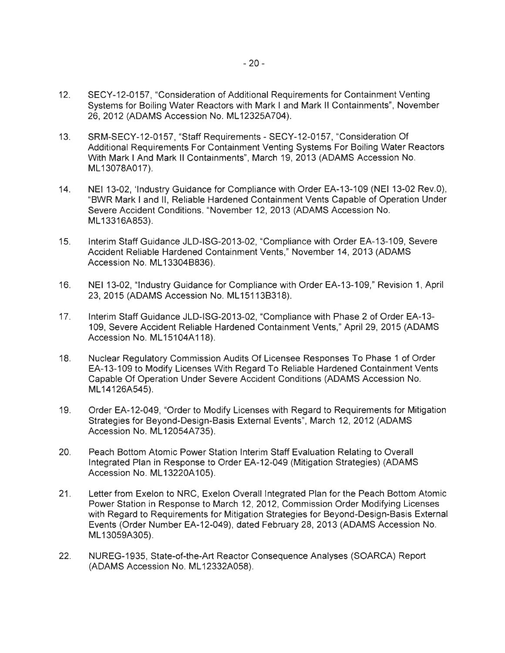- 12. SECY-12-0157, "Consideration of Additional Requirements for Containment Venting Systems for Boiling Water Reactors with Mark I and Mark II Containments", November 26, 2012 (ADAMS Accession No. ML 12325A704).
- 13. SRM-SECY-12-0157, "Staff Requirements SECY-12-0157, "Consideration Of Additional Requirements For Containment Venting Systems For Boiling Water Reactors With Mark I And Mark II Containments", March 19, 2013 (ADAMS Accession No. ML13078A017).
- 14. NEI 13-02, 'Industry Guidance for Compliance with Order EA-13-109 (NEI 13-02 Rev.O) , "BWR Mark I and II , Reliable Hardened Containment Vents Capable of Operation Under Severe Accident Conditions. "November 12, 2013 (ADAMS Accession No. ML 13316A853).
- 15. Interim Staff Guidance JLD-ISG-2013-02, "Compliance with Order EA-13-109, Severe Accident Reliable Hardened Containment Vents," November 14, 2013 (ADAMS Accession No. ML 13304B836).
- 16. NEI 13-02, "Industry Guidance for Compliance with Order EA-13-109," Revision 1, April 23, 2015 (ADAMS Accession No. ML15113B318).
- 17. Interim Staff Guidance JLD-ISG-2013-02, "Compliance with Phase 2 of Order EA-13- 109, Severe Accident Reliable Hardened Containment Vents," April 29, 2015 (ADAMS Accession No. ML15104A118).
- 18. Nuclear Regulatory Commission Audits Of Licensee Responses To Phase 1 of Order EA-13-109 to Modify Licenses With Regard To Reliable Hardened Containment Vents Capable Of Operation Under Severe Accident Conditions (ADAMS Accession No. ML14126A545).
- 19. Order EA-12-049, "Order to Modify Licenses with Regard to Requirements for Mitigation Strategies for Beyond-Design-Basis External Events", March 12, 2012 (ADAMS Accession No. ML 12054A735).
- 20. Peach Bottom Atomic Power Station Interim Staff Evaluation Relating to Overall Integrated Plan in Response to Order EA-12-049 (Mitigation Strategies) (ADAMS Accession No. ML 13220A 105).
- 21 . Letter from Exelon to NRC, Exelon Overall Integrated Plan for the Peach Bottom Atomic Power Station in Response to March 12, 2012, Commission Order Modifying Licenses with Regard to Requirements for Mitigation Strategies for Beyond-Design-Basis External Events (Order Number EA-12-049), dated February 28, 2013 (ADAMS Accession No. ML13059A305).
- 22. NUREG-1935, State-of-the-Art Reactor Consequence Analyses (SOARCA) Report (ADAMS Accession No. ML 12332A058).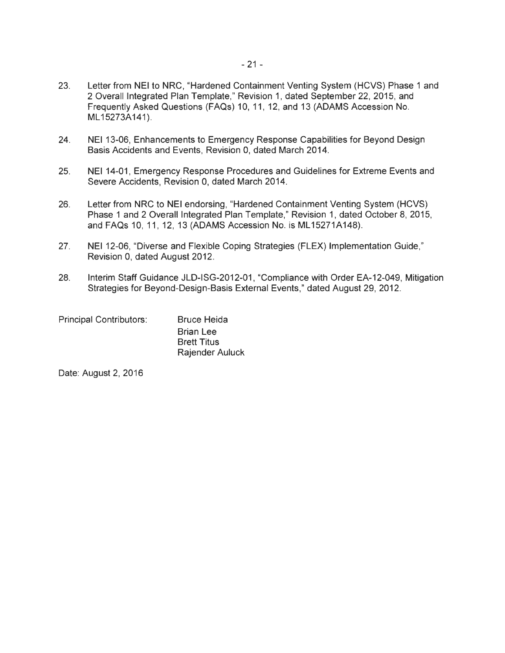- 23. Letter from NEI to NRC, "Hardened Containment Venting System (HCVS) Phase 1 and 2 Overall Integrated Plan Template," Revision 1, dated September 22, 2015, and Frequently Asked Questions (FAQs) 10, 11 , 12, and 13 (ADAMS Accession No. ML 15273A141).
- 24. NEI 13-06, Enhancements to Emergency Response Capabilities for Beyond Design Basis Accidents and Events, Revision 0, dated March 2014.
- 25. NEI 14-01 , Emergency Response Procedures and Guidelines for Extreme Events and Severe Accidents, Revision 0, dated March 2014.
- 26. Letter from NRC to NEI endorsing, "Hardened Containment Venting System (HCVS) Phase 1 and 2 Overall Integrated Plan Template," Revision 1, dated October 8, 2015, and FAQs 10, 11, 12, 13 (ADAMS Accession No. is ML15271A148).
- 27. NEI 12-06, "Diverse and Flexible Coping Strategies (FLEX) Implementation Guide," Revision 0, dated August 2012.
- 28. Interim Staff Guidance JLD-ISG-2012-01 , "Compliance with Order EA-12-049, Mitigation Strategies for Beyond-Design-Basis External Events," dated August 29, 2012.

| <b>Principal Contributors:</b> | <b>Bruce Heida</b>     |  |
|--------------------------------|------------------------|--|
|                                | <b>Brian Lee</b>       |  |
|                                | <b>Brett Titus</b>     |  |
|                                | <b>Rajender Auluck</b> |  |

Date: August 2, 2016